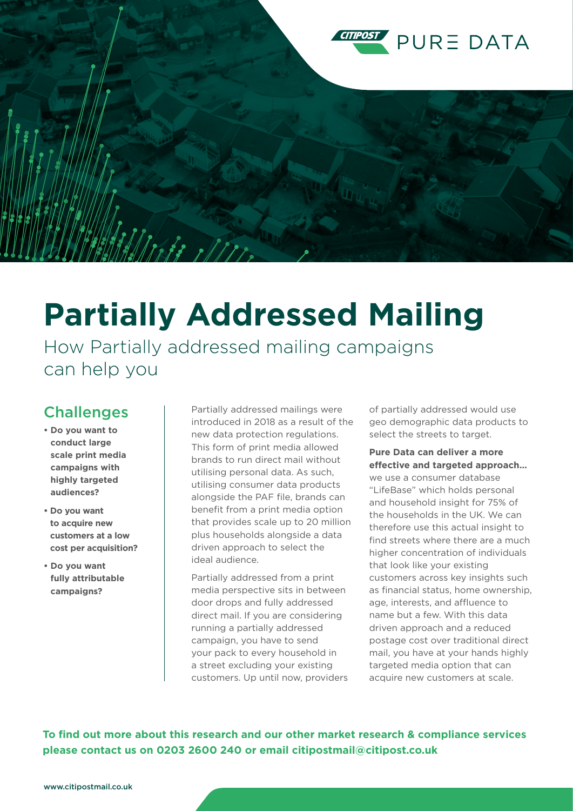

## **Partially Addressed Mailing**

How Partially addressed mailing campaigns can help you

## **Challenges**

- **Do you want to conduct large scale print media campaigns with highly targeted audiences?**
- **Do you want to acquire new customers at a low cost per acquisition?**
- **Do you want fully attributable campaigns?**

Partially addressed mailings were introduced in 2018 as a result of the new data protection regulations. This form of print media allowed brands to run direct mail without utilising personal data. As such, utilising consumer data products alongside the PAF file, brands can benefit from a print media option that provides scale up to 20 million plus households alongside a data driven approach to select the ideal audience.

Partially addressed from a print media perspective sits in between door drops and fully addressed direct mail. If you are considering running a partially addressed campaign, you have to send your pack to every household in a street excluding your existing customers. Up until now, providers of partially addressed would use geo demographic data products to select the streets to target.

## **Pure Data can deliver a more effective and targeted approach…**

we use a consumer database "LifeBase" which holds personal and household insight for 75% of the households in the UK. We can therefore use this actual insight to find streets where there are a much higher concentration of individuals that look like your existing customers across key insights such as financial status, home ownership, age, interests, and affluence to name but a few. With this data driven approach and a reduced postage cost over traditional direct mail, you have at your hands highly targeted media option that can acquire new customers at scale.

**To find out more about this research and our other market research & compliance services please contact us on 0203 2600 240 or email citipostmail@citipost.co.uk**